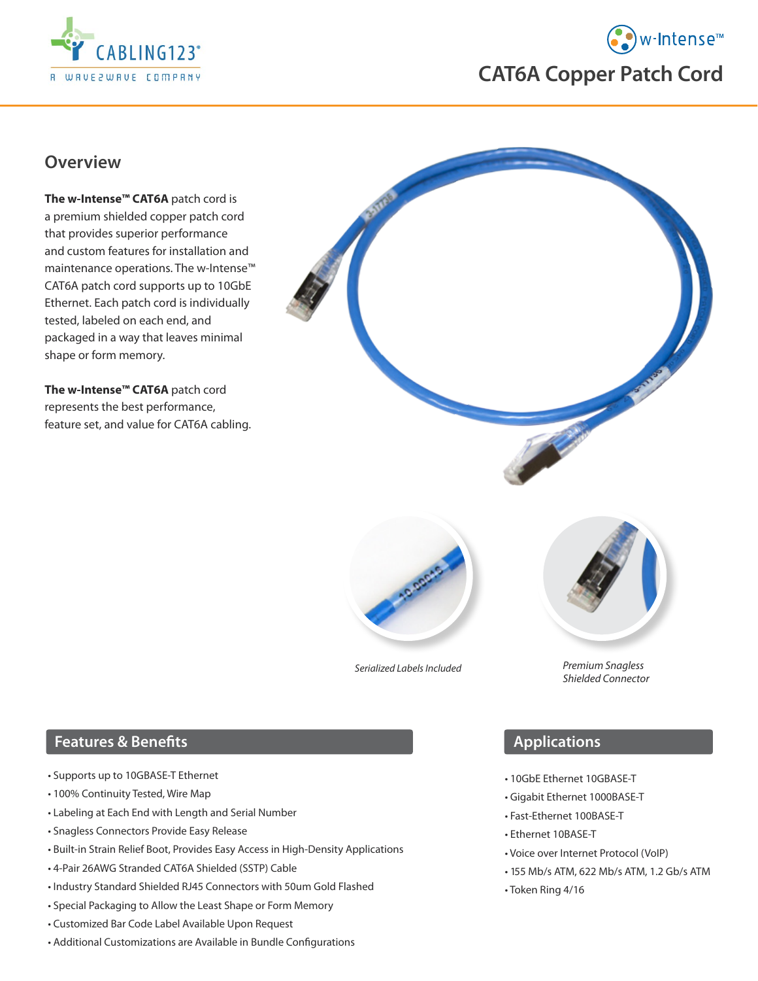

# • w-Intense™ **CAT6A Copper Patch Cord**

## **Overview**

**The w-Intense™ CAT6A** patch cord is a premium shielded copper patch cord that provides superior performance and custom features for installation and maintenance operations. The w-Intense™ CAT6A patch cord supports up to 10GbE Ethernet. Each patch cord is individually tested, labeled on each end, and packaged in a way that leaves minimal shape or form memory.

**The w-Intense™ CAT6A** patch cord represents the best performance, feature set, and value for CAT6A cabling.





*Serialized Labels Included*



*Premium Snagless Shielded Connector*

#### **Features & Benefits**

- Supports up to 10GBASE-T Ethernet
- 100% Continuity Tested, Wire Map
- Labeling at Each End with Length and Serial Number
- Snagless Connectors Provide Easy Release
- Built-in Strain Relief Boot, Provides Easy Access in High-Density Applications
- 4-Pair 26AWG Stranded CAT6A Shielded (SSTP) Cable
- Industry Standard Shielded RJ45 Connectors with 50um Gold Flashed
- Special Packaging to Allow the Least Shape or Form Memory
- Customized Bar Code Label Available Upon Request
- Additional Customizations are Available in Bundle Configurations

## **Applications**

- 10GbE Ethernet 10GBASE-T
- Gigabit Ethernet 1000BASE-T
- Fast-Ethernet 100BASE-T
- Ethernet 10BASE-T
- Voice over Internet Protocol (VoIP)
- 155 Mb/s ATM, 622 Mb/s ATM, 1.2 Gb/s ATM
- Token Ring 4/16